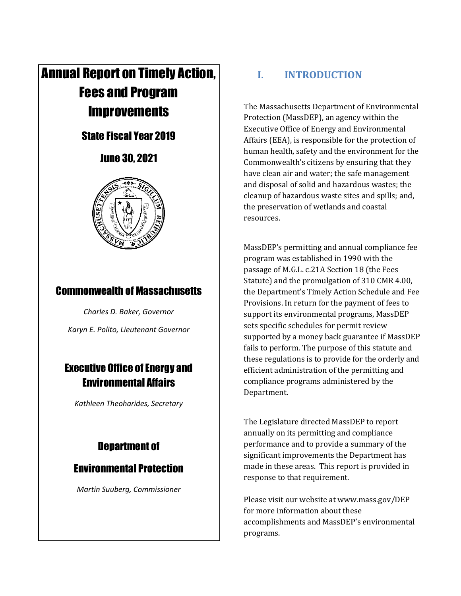# Annual Report on Timely Action, Fees and Program **Improvements**

# State Fiscal Year 2019

# June 30, 2021



# Commonwealth of Massachusetts

*Charles D. Baker, Governor Karyn E. Polito, Lieutenant Governor*

# Executive Office of Energy and Environmental Affairs

*Kathleen Theoharides, Secretary*

# Department of

# Environmental Protection

*Martin Suuberg, Commissioner*

# **I. INTRODUCTION**

The Massachusetts Department of Environmental Protection (MassDEP), an agency within the Executive Office of Energy and Environmental Affairs (EEA), is responsible for the protection of human health, safety and the environment for the Commonwealth's citizens by ensuring that they have clean air and water; the safe management and disposal of solid and hazardous wastes; the cleanup of hazardous waste sites and spills; and, the preservation of wetlands and coastal resources.

MassDEP's permitting and annual compliance fee program was established in 1990 with the passage of M.G.L. c.21A Section 18 (the Fees Statute) and the promulgation of 310 CMR 4.00, the Department's Timely Action Schedule and Fee Provisions. In return for the payment of fees to support its environmental programs, MassDEP sets specific schedules for permit review supported by a money back guarantee if MassDEP fails to perform. The purpose of this statute and these regulations is to provide for the orderly and efficient administration of the permitting and compliance programs administered by the Department.

The Legislature directed MassDEP to report annually on its permitting and compliance performance and to provide a summary of the significant improvements the Department has made in these areas. This report is provided in response to that requirement.

Please visit our website at www.mass.gov/DEP for more information about these accomplishments and MassDEP's environmental programs.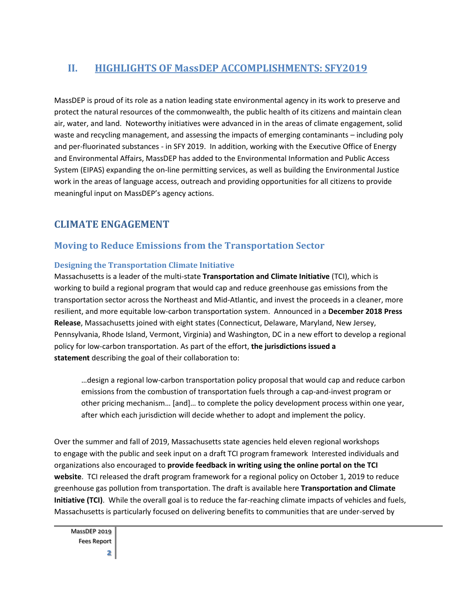## **II. HIGHLIGHTS OF MassDEP ACCOMPLISHMENTS: SFY2019**

MassDEP is proud of its role as a nation leading state environmental agency in its work to preserve and protect the natural resources of the commonwealth, the public health of its citizens and maintain clean air, water, and land. Noteworthy initiatives were advanced in in the areas of climate engagement, solid waste and recycling management, and assessing the impacts of emerging contaminants – including poly and per-fluorinated substances - in SFY 2019. In addition, working with the Executive Office of Energy and Environmental Affairs, MassDEP has added to the Environmental Information and Public Access System (EIPAS) expanding the on-line permitting services, as well as building the Environmental Justice work in the areas of language access, outreach and providing opportunities for all citizens to provide meaningful input on MassDEP's agency actions.

### **CLIMATE ENGAGEMENT**

### **Moving to Reduce Emissions from the Transportation Sector**

#### **Designing the Transportation Climate Initiative**

Massachusetts is a leader of the multi-state **[Transportation and Climate Initiative](https://www.transportationandclimate.org/)** (TCI), which is working to build a regional program that would cap and reduce greenhouse gas emissions from the transportation sector across the Northeast and Mid-Atlantic, and invest the proceeds in a cleaner, more resilient, and more equitable low-carbon transportation system. Announced in a **[December 2018 Press](https://www.mass.gov/news/commonwealth-joins-regional-states-to-reduce-transportation-emissions)  [Release](https://www.mass.gov/news/commonwealth-joins-regional-states-to-reduce-transportation-emissions)**, Massachusetts joined with eight states (Connecticut, Delaware, Maryland, New Jersey, Pennsylvania, Rhode Island, Vermont, Virginia) and Washington, DC in a new effort to develop a regional policy for low-carbon transportation. As part of the effort, **[the jurisdictions issued a](https://www.georgetownclimate.org/files/Final_TCI-statement_20181218_formatted.pdf)  [statement](https://www.georgetownclimate.org/files/Final_TCI-statement_20181218_formatted.pdf)** describing the goal of their collaboration to:

…design a regional low-carbon transportation policy proposal that would cap and reduce carbon emissions from the combustion of transportation fuels through a cap-and-invest program or other pricing mechanism… [and]… to complete the policy development process within one year, after which each jurisdiction will decide whether to adopt and implement the policy.

Over the summer and fall of 2019, Massachusetts state agencies held eleven regional workshops to engage with the public and seek input on a draft TCI program framework Interested individuals and organizations also encouraged to **[provide feedback in writing using the online portal on the TCI](https://www.transportationandclimate.org/main-menu/tci-regional-policy-design-stakeholder-input-form)  [website](https://www.transportationandclimate.org/main-menu/tci-regional-policy-design-stakeholder-input-form)**. TCI released the draft program framework for a regional policy on October 1, 2019 to reduce greenhouse gas pollution from transportation. The draft is available here **[Transportation and Climate](https://www.transportationandclimate.org/main-menu/tcis-regional-policy-design-process-2019)  [Initiative \(TCI\)](https://www.transportationandclimate.org/main-menu/tcis-regional-policy-design-process-2019)**. While the overall goal is to reduce the far-reaching climate impacts of vehicles and fuels, Massachusetts is particularly focused on delivering benefits to communities that are under-served by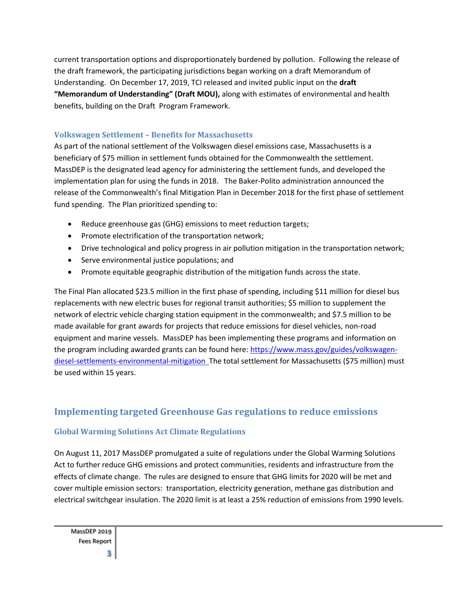current transportation options and disproportionately burdened by pollution. Following the release of the draft framework, the participating jurisdictions began working on a draft Memorandum of Understanding. On December 17, 2019, TCI released and invited public input on the **[draft](https://www.transportationandclimate.org/sites/default/files/FINAL%20TCI_draft-MOU_20191217.pdf)  ["Memorandum of Understanding" \(Draft MOU\)](https://www.transportationandclimate.org/sites/default/files/FINAL%20TCI_draft-MOU_20191217.pdf),** along with estimates of environmental and health benefits, building on the Draft Program Framework.

#### **Volkswagen Settlement – Benefits for Massachusetts**

As part of the national settlement of the Volkswagen diesel emissions case, Massachusetts is a beneficiary of \$75 million in settlement funds obtained for the Commonwealth the settlement. MassDEP is the designated lead agency for administering the settlement funds, and developed the implementation plan for using the funds in 2018. The Baker-Polito administration announced the release of the Commonwealth's final Mitigation Plan in December 2018 for the first phase of settlement fund spending. The Plan prioritized spending to:

- Reduce greenhouse gas (GHG) emissions to meet reduction targets;
- Promote electrification of the transportation network;
- Drive technological and policy progress in air pollution mitigation in the transportation network;
- Serve environmental justice populations; and
- Promote equitable geographic distribution of the mitigation funds across the state.

The Final Plan allocated \$23.5 million in the first phase of spending, including \$11 million for diesel bus replacements with new electric buses for regional transit authorities; \$5 million to supplement the network of electric vehicle charging station equipment in the commonwealth; and \$7.5 million to be made available for grant awards for projects that reduce emissions for diesel vehicles, non-road equipment and marine vessels. MassDEP has been implementing these programs and information on the program including awarded grants can be found here[: https://www.mass.gov/guides/volkswagen](https://www.mass.gov/guides/volkswagen-diesel-settlements-environmental-mitigation)[diesel-settlements-environmental-mitigation](https://www.mass.gov/guides/volkswagen-diesel-settlements-environmental-mitigation) The total settlement for Massachusetts (\$75 million) must be used within 15 years.

### **Implementing targeted Greenhouse Gas regulations to reduce emissions**

#### **Global Warming Solutions Act Climate Regulations**

On August 11, 2017 MassDEP promulgated a suite of regulations under the Global Warming Solutions Act to further reduce GHG emissions and protect communities, residents and infrastructure from the effects of climate change. The rules are designed to ensure that GHG limits for 2020 will be met and cover multiple emission sectors: transportation, electricity generation, methane gas distribution and electrical switchgear insulation. The 2020 limit is at least a 25% reduction of emissions from 1990 levels.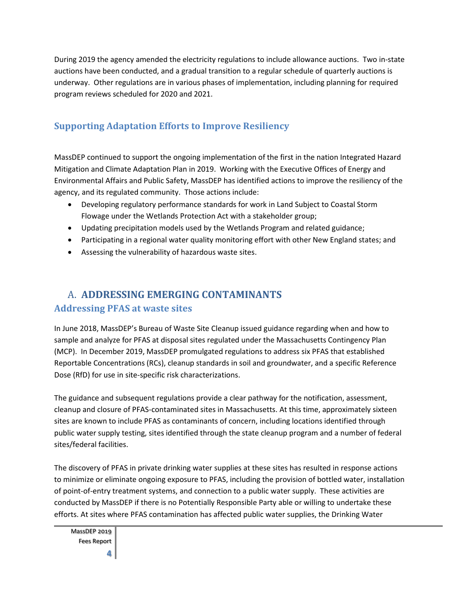During 2019 the agency amended the electricity regulations to include allowance auctions. Two in-state auctions have been conducted, and a gradual transition to a regular schedule of quarterly auctions is underway. Other regulations are in various phases of implementation, including planning for required program reviews scheduled for 2020 and 2021.

### **Supporting Adaptation Efforts to Improve Resiliency**

MassDEP continued to support the ongoing implementation of the first in the nation Integrated Hazard Mitigation and Climate Adaptation Plan in 2019. Working with the Executive Offices of Energy and Environmental Affairs and Public Safety, MassDEP has identified actions to improve the resiliency of the agency, and its regulated community. Those actions include:

- Developing regulatory performance standards for work in Land Subject to Coastal Storm Flowage under the Wetlands Protection Act with a stakeholder group;
- Updating precipitation models used by the Wetlands Program and related guidance;
- Participating in a regional water quality monitoring effort with other New England states; and
- Assessing the vulnerability of hazardous waste sites.

# A. **ADDRESSING EMERGING CONTAMINANTS**

### **Addressing PFAS at waste sites**

In June 2018, MassDEP's Bureau of Waste Site Cleanup issued guidance regarding when and how to sample and analyze for PFAS at disposal sites regulated under the Massachusetts Contingency Plan (MCP). In December 2019, MassDEP promulgated regulations to address six PFAS that established Reportable Concentrations (RCs), cleanup standards in soil and groundwater, and a specific Reference Dose (RfD) for use in site-specific risk characterizations.

The guidance and subsequent regulations provide a clear pathway for the notification, assessment, cleanup and closure of PFAS-contaminated sites in Massachusetts. At this time, approximately sixteen sites are known to include PFAS as contaminants of concern, including locations identified through public water supply testing, sites identified through the state cleanup program and a number of federal sites/federal facilities.

The discovery of PFAS in private drinking water supplies at these sites has resulted in response actions to minimize or eliminate ongoing exposure to PFAS, including the provision of bottled water, installation of point-of-entry treatment systems, and connection to a public water supply. These activities are conducted by MassDEP if there is no Potentially Responsible Party able or willing to undertake these efforts. At sites where PFAS contamination has affected public water supplies, the Drinking Water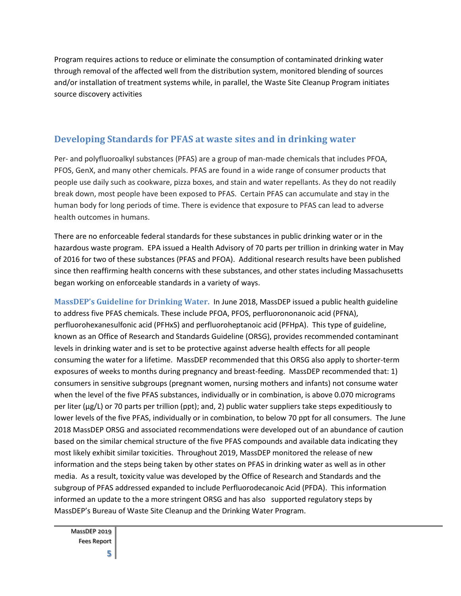Program requires actions to reduce or eliminate the consumption of contaminated drinking water through removal of the affected well from the distribution system, monitored blending of sources and/or installation of treatment systems while, in parallel, the Waste Site Cleanup Program initiates source discovery activities

### **Developing Standards for PFAS at waste sites and in drinking water**

Per- and polyfluoroalkyl substances (PFAS) are a group of man-made chemicals that includes PFOA, PFOS, GenX, and many other chemicals. PFAS are found in a wide range of consumer products that people use daily such as cookware, pizza boxes, and stain and water repellants. As they do not readily break down, most people have been exposed to PFAS. Certain PFAS can accumulate and stay in the human body for long periods of time. There is evidence that exposure to PFAS can lead to adverse health outcomes in humans.

There are no enforceable federal standards for these substances in public drinking water or in the hazardous waste program. EPA issued a Health Advisory of 70 parts per trillion in drinking water in May of 2016 for two of these substances (PFAS and PFOA). Additional research results have been published since then reaffirming health concerns with these substances, and other states including Massachusetts began working on enforceable standards in a variety of ways.

**MassDEP's Guideline for Drinking Water.** In June 2018, MassDEP issued a public health guideline to address five PFAS chemicals. These include PFOA, PFOS, perfluorononanoic acid (PFNA), perfluorohexanesulfonic acid (PFHxS) and perfluoroheptanoic acid (PFHpA). This type of guideline, known as an Office of Research and Standards Guideline (ORSG), provides recommended contaminant levels in drinking water and is set to be protective against adverse health effects for all people consuming the water for a lifetime. MassDEP recommended that this ORSG also apply to shorter-term exposures of weeks to months during pregnancy and breast-feeding. MassDEP recommended that: 1) consumers in sensitive subgroups (pregnant women, nursing mothers and infants) not consume water when the level of the five PFAS substances, individually or in combination, is above 0.070 micrograms per liter (μg/L) or 70 parts per trillion (ppt); and, 2) public water suppliers take steps expeditiously to lower levels of the five PFAS, individually or in combination, to below 70 ppt for all consumers. The June 2018 MassDEP ORSG and associated recommendations were developed out of an abundance of caution based on the similar chemical structure of the five PFAS compounds and available data indicating they most likely exhibit similar toxicities. Throughout 2019, MassDEP monitored the release of new information and the steps being taken by other states on PFAS in drinking water as well as in other media. As a result, toxicity value was developed by the Office of Research and Standards and the subgroup of PFAS addressed expanded to include Perfluorodecanoic Acid (PFDA). This information informed an update to the a more stringent ORSG and has also supported regulatory steps by MassDEP's Bureau of Waste Site Cleanup and the Drinking Water Program.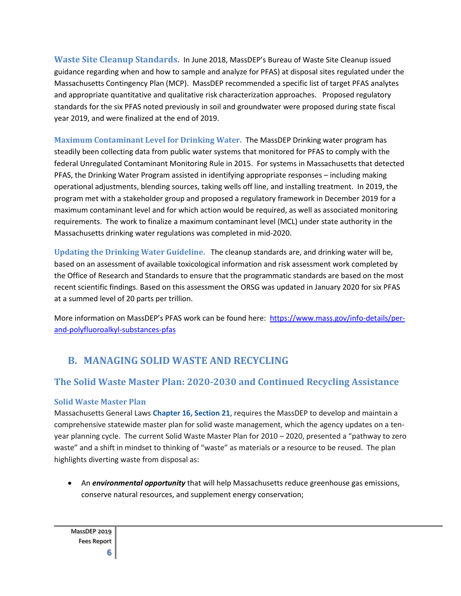**Waste Site Cleanup Standards.** In June 2018, MassDEP's Bureau of Waste Site Cleanup issued guidance regarding when and how to sample and analyze for PFAS) at disposal sites regulated under the Massachusetts Contingency Plan (MCP). MassDEP recommended a specific list of target PFAS analytes and appropriate quantitative and qualitative risk characterization approaches. Proposed regulatory standards for the six PFAS noted previously in soil and groundwater were proposed during state fiscal year 2019, and were finalized at the end of 2019.

**Maximum Contaminant Level for Drinking Water.** The MassDEP Drinking water program has steadily been collecting data from public water systems that monitored for PFAS to comply with the federal Unregulated Contaminant Monitoring Rule in 2015. For systems in Massachusetts that detected PFAS, the Drinking Water Program assisted in identifying appropriate responses – including making operational adjustments, blending sources, taking wells off line, and installing treatment. In 2019, the program met with a stakeholder group and proposed a regulatory framework in December 2019 for a maximum contaminant level and for which action would be required, as well as associated monitoring requirements. The work to finalize a maximum contaminant level (MCL) under state authority in the Massachusetts drinking water regulations was completed in mid-2020.

**Updating the Drinking Water Guideline.** The cleanup standards are, and drinking water will be, based on an assessment of available toxicological information and risk assessment work completed by the Office of Research and Standards to ensure that the programmatic standards are based on the most recent scientific findings. Based on this assessment the ORSG was updated in January 2020 for six PFAS at a summed level of 20 parts per trillion.

More information on MassDEP's PFAS work can be found here: [https://www.mass.gov/info-details/per](https://www.mass.gov/info-details/per-and-polyfluoroalkyl-substances-pfas)[and-polyfluoroalkyl-substances-pfas](https://www.mass.gov/info-details/per-and-polyfluoroalkyl-substances-pfas)

# **B. MANAGING SOLID WASTE AND RECYCLING**

### **The Solid Waste Master Plan: 2020-2030 and Continued Recycling Assistance**

#### **Solid Waste Master Plan**

Massachusetts General Laws **[Chapter 16, Section 21](https://malegislature.gov/Laws/GeneralLaws/PartI/TitleII/Chapter16/Section21)**, requires the MassDEP to develop and maintain a comprehensive statewide master plan for solid waste management, which the agency updates on a tenyear planning cycle. The current Solid Waste Master Plan for 2010 – 2020, presented a "pathway to zero waste" and a shift in mindset to thinking of "waste" as materials or a resource to be reused. The plan highlights diverting waste from disposal as:

• An *environmental opportunity* that will help Massachusetts reduce greenhouse gas emissions, conserve natural resources, and supplement energy conservation;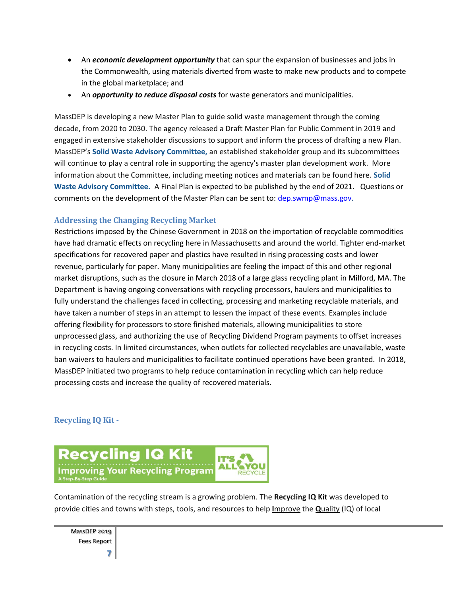- An *economic development opportunity* that can spur the expansion of businesses and jobs in the Commonwealth, using materials diverted from waste to make new products and to compete in the global marketplace; and
- An *opportunity to reduce disposal costs* for waste generators and municipalities.

MassDEP is developing a new Master Plan to guide solid waste management through the coming decade, from 2020 to 2030. The agency released a Draft Master Plan for Public Comment in 2019 and engaged in extensive stakeholder discussions to support and inform the process of drafting a new Plan. MassDEP's **[Solid Waste Advisory Committee,](https://www.mass.gov/service-details/solid-waste-advisory-committee-massdep)** an established stakeholder group and its subcommittees will continue to play a central role in supporting the agency's master plan development work. More information about the Committee, including meeting notices and materials can be found here. **[Solid](https://www.mass.gov/service-details/solid-waste-advisory-committee-massdep)  [Waste Advisory Committee.](https://www.mass.gov/service-details/solid-waste-advisory-committee-massdep)** A Final Plan is expected to be published by the end of 2021. Questions or comments on the development of the Master Plan can be sent to: [dep.swmp@mass.gov.](mailto:dep.swmp@mass.gov)

#### **Addressing the Changing Recycling Market**

Restrictions imposed by the Chinese Government in 2018 on the importation of recyclable commodities have had dramatic effects on recycling here in Massachusetts and around the world. Tighter end-market specifications for recovered paper and plastics have resulted in rising processing costs and lower revenue, particularly for paper. Many municipalities are feeling the impact of this and other regional market disruptions, such as the closure in March 2018 of a large glass recycling plant in Milford, MA. The Department is having ongoing conversations with recycling processors, haulers and municipalities to fully understand the challenges faced in collecting, processing and marketing recyclable materials, and have taken a number of steps in an attempt to lessen the impact of these events. Examples include offering flexibility for processors to store finished materials, allowing municipalities to store unprocessed glass, and authorizing the use of Recycling Dividend Program payments to offset increases in recycling costs. In limited circumstances, when outlets for collected recyclables are unavailable, waste ban waivers to haulers and municipalities to facilitate continued operations have been granted. In 2018, MassDEP initiated two programs to help reduce contamination in recycling which can help reduce processing costs and increase the quality of recovered materials.

#### **Recycling IQ Kit -**



Contamination of the recycling stream is a growing problem. The **Recycling IQ Kit** was developed to provide cities and towns with steps, tools, and resources to help **I**mprove the **Q**uality (IQ) of local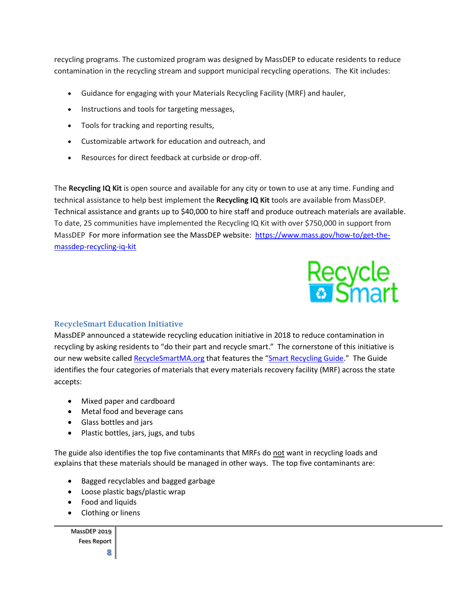recycling programs. The customized program was designed by MassDEP to educate residents to reduce contamination in the recycling stream and support municipal recycling operations. The Kit includes:

- Guidance for engaging with your Materials Recycling Facility (MRF) and hauler,
- Instructions and tools for targeting messages,
- Tools for tracking and reporting results,
- Customizable artwork for education and outreach, and
- Resources for direct feedback at curbside or drop-off.

The **Recycling IQ Kit** is open source and available for any city or town to use at any time. Funding and technical assistance to help best implement the **Recycling IQ Kit** tools are available from MassDEP. Technical assistance and grants up to \$40,000 to hire staff and produce outreach materials are available. To date, 25 communities have implemented the Recycling IQ Kit with over \$750,000 in support from MassDEP For more information see the MassDEP website: [https://www.mass.gov/how-to/get-the](https://www.mass.gov/how-to/get-the-massdep-recycling-iq-kit)[massdep-recycling-iq-kit](https://www.mass.gov/how-to/get-the-massdep-recycling-iq-kit)



#### **RecycleSmart Education Initiative**

MassDEP announced a statewide recycling education initiative in 2018 to reduce contamination in recycling by asking residents to "do their part and recycle smart." The cornerstone of this initiative is our new website called [RecycleSmartMA.org](https://recyclesmartma.org/) that features the "[Smart Recycling Guide](https://recyclesmartma.org/smart-recycling-guide/)." The Guide identifies the four categories of materials that every materials recovery facility (MRF) across the state accepts:

- Mixed paper and cardboard
- Metal food and beverage cans
- Glass bottles and jars
- Plastic bottles, jars, jugs, and tubs

The guide also identifies the top five contaminants that MRFs do not want in recycling loads and explains that these materials should be managed in other ways. The top five contaminants are:

- Bagged recyclables and bagged garbage
- Loose plastic bags/plastic wrap
- Food and liquids
- Clothing or linens

MassDEP 2019 Fees Report

**8**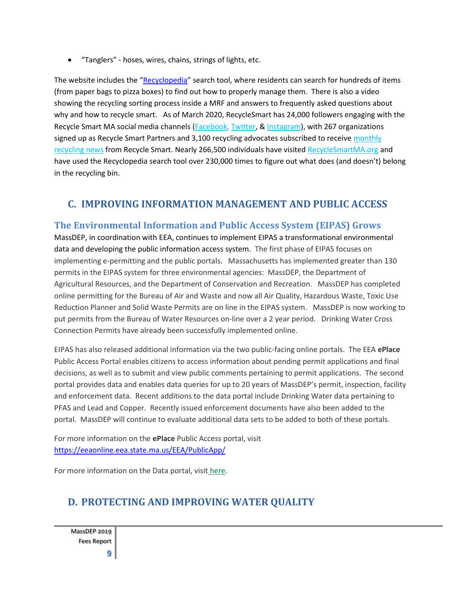• "Tanglers" - hoses, wires, chains, strings of lights, etc.

The website includes the "[Recyclopedia](https://recyclesmartma.org/results-materials/)" search tool, where residents can search for hundreds of items (from paper bags to pizza boxes) to find out how to properly manage them. There is also a video showing the recycling sorting process inside a MRF and answers to frequently asked questions about why and how to recycle smart. As of March 2020, RecycleSmart has 24,000 followers engaging with the Recycle Smart MA social media channels [\(Facebook,](http://facebook.com/recyclesmartma) [Twitter,](https://twitter.com/RecycleSmartMA) & [Instagram\)](https://www.instagram.com/recyclesmartma/), with 267 organizations signed up as Recycle Smart Partners and 3,100 recycling advocates subscribed to receive [monthly](https://mailchi.mp/4d689a17d2c8/recyclesmartmasignup) [recycling news](https://mailchi.mp/4d689a17d2c8/recyclesmartmasignup) from Recycle Smart. Nearly 266,500 individuals have visited [RecycleSmartMA.org](https://recyclesmartma.org/) and have used the Recyclopedia search tool over 230,000 times to figure out what does (and doesn't) belong in the recycling bin.

### **C. IMPROVING INFORMATION MANAGEMENT AND PUBLIC ACCESS**

### **The Environmental Information and Public Access System (EIPAS) Grows**

MassDEP, in coordination with EEA, continues to implement EIPAS a transformational environmental data and developing the public information access system. The first phase of EIPAS focuses on implementing e-permitting and the public portals. Massachusetts has implemented greater than 130 permits in the EIPAS system for three environmental agencies: MassDEP, the Department of Agricultural Resources, and the Department of Conservation and Recreation. MassDEP has completed online permitting for the Bureau of Air and Waste and now all Air Quality, Hazardous Waste, Toxic Use Reduction Planner and Solid Waste Permits are on line in the EIPAS system. MassDEP is now working to put permits from the Bureau of Water Resources on-line over a 2 year period. Drinking Water Cross Connection Permits have already been successfully implemented online.

EIPAS has also released additional information via the two public-facing online portals. The EEA **ePlace**  Public Access Portal enables citizens to access information about pending permit applications and final decisions, as well as to submit and view public comments pertaining to permit applications. The second portal provides data and enables data queries for up to 20 years of MassDEP's permit, inspection, facility and enforcement data. Recent additions to the data portal include Drinking Water data pertaining to PFAS and Lead and Copper.Recently issued enforcement documents have also been added to the portal. MassDEP will continue to evaluate additional data sets to be added to both of these portals.

For more information on the **ePlace** Public Access portal, visit <https://eeaonline.eea.state.ma.us/EEA/PublicApp/>

For more information on the Data portal, visit [here.](http://eeaonline.eea.state.ma.us/portal)

# **D. PROTECTING AND IMPROVING WATER QUALITY**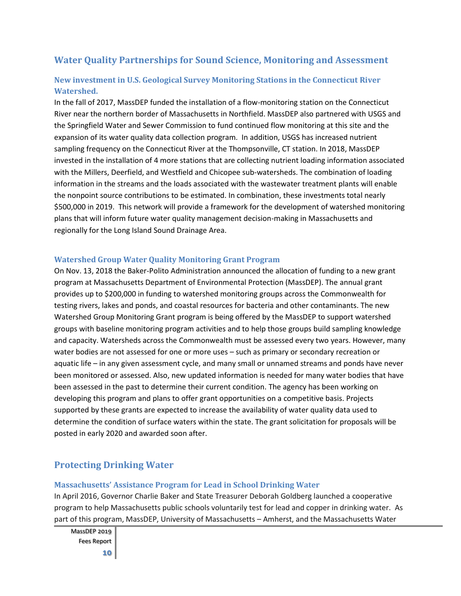### **Water Quality Partnerships for Sound Science, Monitoring and Assessment**

### **New investment in U.S. Geological Survey Monitoring Stations in the Connecticut River Watershed.**

In the fall of 2017, MassDEP funded the installation of a flow-monitoring station on the Connecticut River near the northern border of Massachusetts in Northfield. MassDEP also partnered with USGS and the Springfield Water and Sewer Commission to fund continued flow monitoring at this site and the expansion of its water quality data collection program. In addition, USGS has increased nutrient sampling frequency on the Connecticut River at the Thompsonville, CT station. In 2018, MassDEP invested in the installation of 4 more stations that are collecting nutrient loading information associated with the Millers, Deerfield, and Westfield and Chicopee sub-watersheds. The combination of loading information in the streams and the loads associated with the wastewater treatment plants will enable the nonpoint source contributions to be estimated. In combination, these investments total nearly \$500,000 in 2019. This network will provide a framework for the development of watershed monitoring plans that will inform future water quality management decision-making in Massachusetts and regionally for the Long Island Sound Drainage Area.

#### **Watershed Group Water Quality Monitoring Grant Program**

On Nov. 13, 2018 the Baker-Polito Administration announced the allocation of funding to a new grant program at Massachusetts Department of Environmental Protection (MassDEP). The annual grant provides up to \$200,000 in funding to watershed monitoring groups across the Commonwealth for testing rivers, lakes and ponds, and coastal resources for bacteria and other contaminants. The new Watershed Group Monitoring Grant program is being offered by the MassDEP to support watershed groups with baseline monitoring program activities and to help those groups build sampling knowledge and capacity. Watersheds across the Commonwealth must be assessed every two years. However, many water bodies are not assessed for one or more uses – such as primary or secondary recreation or aquatic life – in any given assessment cycle, and many small or unnamed streams and ponds have never been monitored or assessed. Also, new updated information is needed for many water bodies that have been assessed in the past to determine their current condition. The agency has been working on developing this program and plans to offer grant opportunities on a competitive basis. Projects supported by these grants are expected to increase the availability of water quality data used to determine the condition of surface waters within the state. The grant solicitation for proposals will be posted in early 2020 and awarded soon after.

### **Protecting Drinking Water**

#### **Massachusetts' Assistance Program for Lead in School Drinking Water**

In April 2016, Governor Charlie Baker and State Treasurer Deborah Goldberg launched a cooperative program to help Massachusetts public schools voluntarily test for lead and copper in drinking water. As part of this program, MassDEP, University of Massachusetts – Amherst, and the Massachusetts Water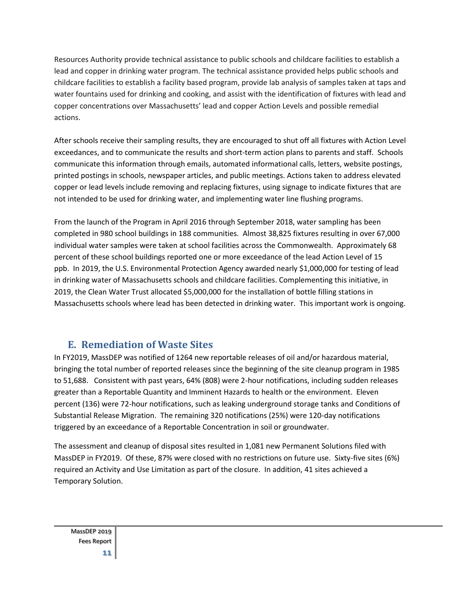Resources Authority provide technical assistance to public schools and childcare facilities to establish a lead and copper in drinking water program. The technical assistance provided helps public schools and childcare facilities to establish a facility based program, provide lab analysis of samples taken at taps and water fountains used for drinking and cooking, and assist with the identification of fixtures with lead and copper concentrations over Massachusetts' lead and copper Action Levels and possible remedial actions.

After schools receive their sampling results, they are encouraged to shut off all fixtures with Action Level exceedances, and to communicate the results and short-term action plans to parents and staff. Schools communicate this information through emails, automated informational calls, letters, website postings, printed postings in schools, newspaper articles, and public meetings. Actions taken to address elevated copper or lead levels include removing and replacing fixtures, using signage to indicate fixtures that are not intended to be used for drinking water, and implementing water line flushing programs.

From the launch of the Program in April 2016 through September 2018, water sampling has been completed in 980 school buildings in 188 communities. Almost 38,825 fixtures resulting in over 67,000 individual water samples were taken at school facilities across the Commonwealth. Approximately 68 percent of these school buildings reported one or more exceedance of the lead Action Level of 15 ppb. In 2019, the U.S. Environmental Protection Agency awarded nearly \$1,000,000 for testing of lead in drinking water of Massachusetts schools and childcare facilities. Complementing this initiative, in 2019, the Clean Water Trust allocated \$5,000,000 for the installation of bottle filling stations in Massachusetts schools where lead has been detected in drinking water. This important work is ongoing.

# **E. Remediation of Waste Sites**

In FY2019, MassDEP was notified of 1264 new reportable releases of oil and/or hazardous material, bringing the total number of reported releases since the beginning of the site cleanup program in 1985 to 51,688. Consistent with past years, 64% (808) were 2-hour notifications, including sudden releases greater than a Reportable Quantity and Imminent Hazards to health or the environment. Eleven percent (136) were 72-hour notifications, such as leaking underground storage tanks and Conditions of Substantial Release Migration. The remaining 320 notifications (25%) were 120-day notifications triggered by an exceedance of a Reportable Concentration in soil or groundwater.

The assessment and cleanup of disposal sites resulted in 1,081 new Permanent Solutions filed with MassDEP in FY2019. Of these, 87% were closed with no restrictions on future use. Sixty-five sites (6%) required an Activity and Use Limitation as part of the closure. In addition, 41 sites achieved a Temporary Solution.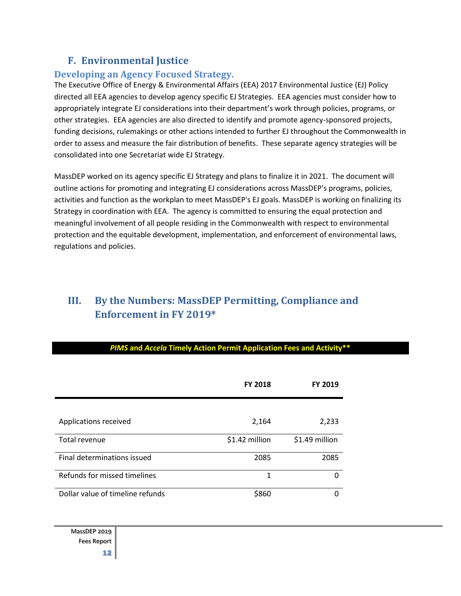### **F. Environmental Justice**

### **Developing an Agency Focused Strategy.**

The Executive Office of Energy & Environmental Affairs (EEA) 2017 Environmental Justice (EJ) Policy directed all EEA agencies to develop agency specific EJ Strategies. EEA agencies must consider how to appropriately integrate EJ considerations into their department's work through policies, programs, or other strategies. EEA agencies are also directed to identify and promote agency-sponsored projects, funding decisions, rulemakings or other actions intended to further EJ throughout the Commonwealth in order to assess and measure the fair distribution of benefits. These separate agency strategies will be consolidated into one Secretariat wide EJ Strategy.

MassDEP worked on its agency specific EJ Strategy and plans to finalize it in 2021. The document will outline actions for promoting and integrating EJ considerations across MassDEP's programs, policies, activities and function as the workplan to meet MassDEP's EJ goals. MassDEP is working on finalizing its Strategy in coordination with EEA. The agency is committed to ensuring the equal protection and meaningful involvement of all people residing in the Commonwealth with respect to environmental protection and the equitable development, implementation, and enforcement of environmental laws, regulations and policies.

# **III. By the Numbers: MassDEP Permitting, Compliance and Enforcement in FY 2019\***

#### *PIMS* **and** *Accela* **Timely Action Permit Application Fees and Activity\*\***

|                                  | <b>FY 2018</b> | <b>FY 2019</b> |
|----------------------------------|----------------|----------------|
|                                  |                |                |
| Applications received            | 2,164          | 2,233          |
| Total revenue                    | \$1.42 million | \$1.49 million |
| Final determinations issued      | 2085           | 2085           |
| Refunds for missed timelines     | 1              | ŋ              |
| Dollar value of timeline refunds | \$860          | ი              |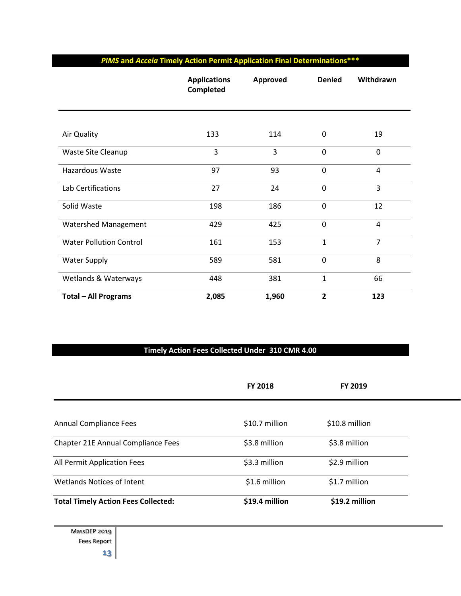|  | <b>PIMS and Accela Timely Action Permit Application Final Determinations***</b> |  |
|--|---------------------------------------------------------------------------------|--|
|  |                                                                                 |  |

|                                | <b>Applications</b><br>Completed | Approved | <b>Denied</b>  | Withdrawn      |
|--------------------------------|----------------------------------|----------|----------------|----------------|
|                                |                                  |          |                |                |
| Air Quality                    | 133                              | 114      | 0              | 19             |
| Waste Site Cleanup             | 3                                | 3        | $\mathbf 0$    | $\mathbf 0$    |
| Hazardous Waste                | 97                               | 93       | $\mathbf 0$    | $\overline{4}$ |
| Lab Certifications             | 27                               | 24       | $\mathbf 0$    | 3              |
| Solid Waste                    | 198                              | 186      | $\mathbf 0$    | 12             |
| Watershed Management           | 429                              | 425      | $\mathbf 0$    | 4              |
| <b>Water Pollution Control</b> | 161                              | 153      | $\mathbf 1$    | $\overline{7}$ |
| <b>Water Supply</b>            | 589                              | 581      | $\mathbf 0$    | 8              |
| Wetlands & Waterways           | 448                              | 381      | $\mathbf{1}$   | 66             |
| <b>Total - All Programs</b>    | 2,085                            | 1,960    | $\overline{2}$ | 123            |

### **Timely Action Fees Collected Under 310 CMR 4.00**

|                                            | <b>FY 2018</b> | <b>FY 2019</b> |  |
|--------------------------------------------|----------------|----------------|--|
|                                            |                |                |  |
| <b>Annual Compliance Fees</b>              | \$10.7 million | \$10.8 million |  |
| Chapter 21E Annual Compliance Fees         | \$3.8 million  | \$3.8 million  |  |
| All Permit Application Fees                | \$3.3 million  | \$2.9 million  |  |
| <b>Wetlands Notices of Intent</b>          | \$1.6 million  | \$1.7 million  |  |
| <b>Total Timely Action Fees Collected:</b> | \$19.4 million | \$19.2 million |  |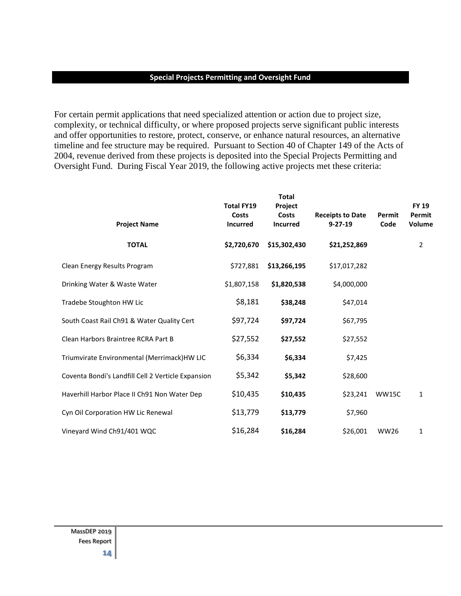#### **Special Projects Permitting and Oversight Fund**

For certain permit applications that need specialized attention or action due to project size, complexity, or technical difficulty, or where proposed projects serve significant public interests and offer opportunities to restore, protect, conserve, or enhance natural resources, an alternative timeline and fee structure may be required. Pursuant to Section 40 of Chapter 149 of the Acts of 2004, revenue derived from these projects is deposited into the Special Projects Permitting and Oversight Fund. During Fiscal Year 2019, the following active projects met these criteria:

| <b>Project Name</b>                                | <b>Total FY19</b><br>Costs<br><b>Incurred</b> | <b>Total</b><br>Project<br>Costs<br><b>Incurred</b> | <b>Receipts to Date</b><br>$9 - 27 - 19$ | Permit<br>Code | <b>FY 19</b><br>Permit<br>Volume |
|----------------------------------------------------|-----------------------------------------------|-----------------------------------------------------|------------------------------------------|----------------|----------------------------------|
| <b>TOTAL</b>                                       | \$2,720,670                                   | \$15,302,430                                        | \$21,252,869                             |                | $\overline{2}$                   |
| Clean Energy Results Program                       | \$727,881                                     | \$13,266,195                                        | \$17,017,282                             |                |                                  |
| Drinking Water & Waste Water                       | \$1,807,158                                   | \$1,820,538                                         | \$4,000,000                              |                |                                  |
| Tradebe Stoughton HW Lic                           | \$8,181                                       | \$38,248                                            | \$47,014                                 |                |                                  |
| South Coast Rail Ch91 & Water Quality Cert         | \$97,724                                      | \$97,724                                            | \$67,795                                 |                |                                  |
| Clean Harbors Braintree RCRA Part B                | \$27,552                                      | \$27,552                                            | \$27,552                                 |                |                                  |
| Triumvirate Environmental (Merrimack)HW LIC        | \$6,334                                       | \$6,334                                             | \$7,425                                  |                |                                  |
| Coventa Bondi's Landfill Cell 2 Verticle Expansion | \$5,342                                       | \$5,342                                             | \$28,600                                 |                |                                  |
| Haverhill Harbor Place II Ch91 Non Water Dep       | \$10,435                                      | \$10,435                                            | \$23,241                                 | WW15C          | 1                                |
| Cyn Oil Corporation HW Lic Renewal                 | \$13,779                                      | \$13,779                                            | \$7,960                                  |                |                                  |
| Vineyard Wind Ch91/401 WQC                         | \$16,284                                      | \$16,284                                            | \$26,001                                 | <b>WW26</b>    | 1                                |